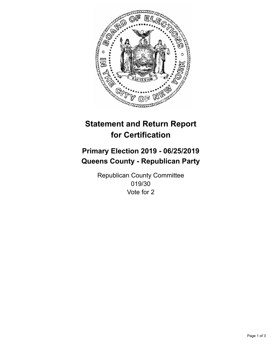

## **Statement and Return Report for Certification**

## **Primary Election 2019 - 06/25/2019 Queens County - Republican Party**

Republican County Committee 019/30 Vote for 2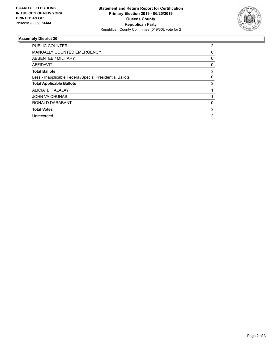

## **Assembly District 30**

| <b>PUBLIC COUNTER</b>                                    | 2              |
|----------------------------------------------------------|----------------|
| <b>MANUALLY COUNTED EMERGENCY</b>                        | 0              |
| ABSENTEE / MILITARY                                      | 0              |
| AFFIDAVIT                                                | 0              |
| <b>Total Ballots</b>                                     | $\mathbf{2}$   |
| Less - Inapplicable Federal/Special Presidential Ballots | 0              |
| <b>Total Applicable Ballots</b>                          | 2              |
| ALICIA B. TALALAY                                        |                |
| <b>JOHN VAICHUNAS</b>                                    |                |
| RONALD DARABANT                                          | 0              |
| <b>Total Votes</b>                                       | $\mathbf{2}$   |
| Unrecorded                                               | $\overline{2}$ |